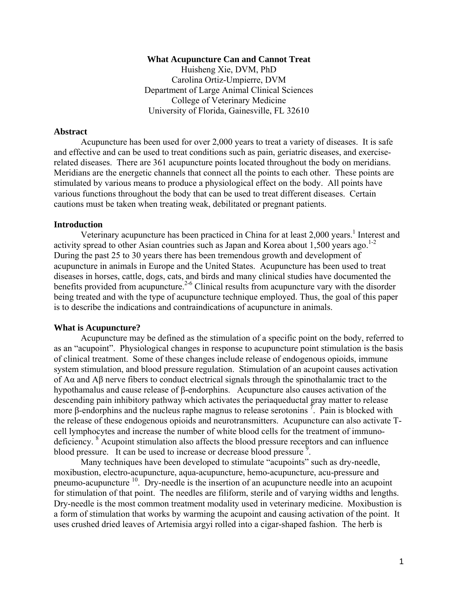#### **What Acupuncture Can and Cannot Treat**

Huisheng Xie, DVM, PhD Carolina Ortiz-Umpierre, DVM Department of Large Animal Clinical Sciences College of Veterinary Medicine University of Florida, Gainesville, FL 32610

### **Abstract**

Acupuncture has been used for over 2,000 years to treat a variety of diseases. It is safe and effective and can be used to treat conditions such as pain, geriatric diseases, and exerciserelated diseases. There are 361 acupuncture points located throughout the body on meridians. Meridians are the energetic channels that connect all the points to each other. These points are stimulated by various means to produce a physiological effect on the body. All points have various functions throughout the body that can be used to treat different diseases. Certain cautions must be taken when treating weak, debilitated or pregnant patients.

#### **Introduction**

Veterinary acupuncture has been practiced in China for at least 2,000 years.<sup>1</sup> Interest and activity spread to other Asian countries such as Japan and Korea about 1,500 years ago.<sup>1-2</sup> During the past 25 to 30 years there has been tremendous growth and development of acupuncture in animals in Europe and the United States. Acupuncture has been used to treat diseases in horses, cattle, dogs, cats, and birds and many clinical studies have documented the benefits provided from acupuncture.<sup>2-6</sup> Clinical results from acupuncture vary with the disorder being treated and with the type of acupuncture technique employed. Thus, the goal of this paper is to describe the indications and contraindications of acupuncture in animals.

#### **What is Acupuncture?**

 Acupuncture may be defined as the stimulation of a specific point on the body, referred to as an "acupoint". Physiological changes in response to acupuncture point stimulation is the basis of clinical treatment. Some of these changes include release of endogenous opioids, immune system stimulation, and blood pressure regulation. Stimulation of an acupoint causes activation of Aα and Aβ nerve fibers to conduct electrical signals through the spinothalamic tract to the hypothamalus and cause release of β-endorphins. Acupuncture also causes activation of the descending pain inhibitory pathway which activates the periaqueductal gray matter to release more β-endorphins and the nucleus raphe magnus to release serotonins<sup>7</sup>. Pain is blocked with the release of these endogenous opioids and neurotransmitters. Acupuncture can also activate Tcell lymphocytes and increase the number of white blood cells for the treatment of immunodeficiency. <sup>8</sup> Acupoint stimulation also affects the blood pressure receptors and can influence blood pressure. It can be used to increase or decrease blood pressure<sup>9</sup>.

 Many techniques have been developed to stimulate "acupoints" such as dry-needle, moxibustion, electro-acupuncture, aqua-acupuncture, hemo-acupuncture, acu-pressure and pneumo-acupuncture 10. Dry-needle is the insertion of an acupuncture needle into an acupoint for stimulation of that point. The needles are filiform, sterile and of varying widths and lengths. Dry-needle is the most common treatment modality used in veterinary medicine. Moxibustion is a form of stimulation that works by warming the acupoint and causing activation of the point. It uses crushed dried leaves of Artemisia argyi rolled into a cigar-shaped fashion. The herb is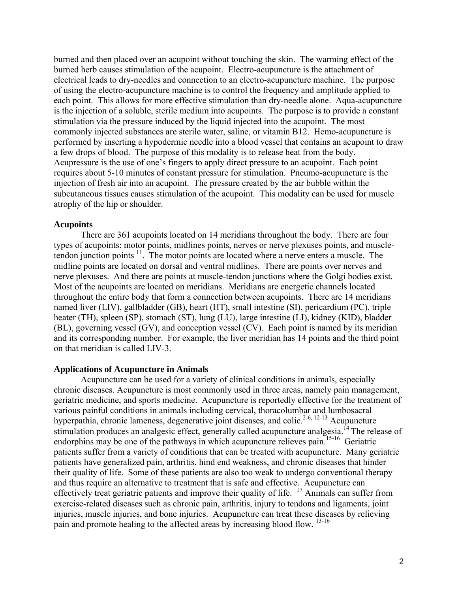burned and then placed over an acupoint without touching the skin. The warming effect of the burned herb causes stimulation of the acupoint. Electro-acupuncture is the attachment of electrical leads to dry-needles and connection to an electro-acupuncture machine. The purpose of using the electro-acupuncture machine is to control the frequency and amplitude applied to each point. This allows for more effective stimulation than dry-needle alone. Aqua-acupuncture is the injection of a soluble, sterile medium into acupoints. The purpose is to provide a constant stimulation via the pressure induced by the liquid injected into the acupoint. The most commonly injected substances are sterile water, saline, or vitamin B12. Hemo-acupuncture is performed by inserting a hypodermic needle into a blood vessel that contains an acupoint to draw a few drops of blood. The purpose of this modality is to release heat from the body. Acupressure is the use of one's fingers to apply direct pressure to an acupoint. Each point requires about 5-10 minutes of constant pressure for stimulation. Pneumo-acupuncture is the injection of fresh air into an acupoint. The pressure created by the air bubble within the subcutaneous tissues causes stimulation of the acupoint. This modality can be used for muscle atrophy of the hip or shoulder.

#### **Acupoints**

 There are 361 acupoints located on 14 meridians throughout the body. There are four types of acupoints: motor points, midlines points, nerves or nerve plexuses points, and muscletendon junction points  $11$ . The motor points are located where a nerve enters a muscle. The midline points are located on dorsal and ventral midlines. There are points over nerves and nerve plexuses. And there are points at muscle-tendon junctions where the Golgi bodies exist. Most of the acupoints are located on meridians. Meridians are energetic channels located throughout the entire body that form a connection between acupoints. There are 14 meridians named liver (LIV), gallbladder (GB), heart (HT), small intestine (SI), pericardium (PC), triple heater (TH), spleen (SP), stomach (ST), lung (LU), large intestine (LI), kidney (KID), bladder (BL), governing vessel (GV), and conception vessel (CV). Each point is named by its meridian and its corresponding number. For example, the liver meridian has 14 points and the third point on that meridian is called LIV-3.

#### **Applications of Acupuncture in Animals**

 Acupuncture can be used for a variety of clinical conditions in animals, especially chronic diseases. Acupuncture is most commonly used in three areas, namely pain management, geriatric medicine, and sports medicine. Acupuncture is reportedly effective for the treatment of various painful conditions in animals including cervical, thoracolumbar and lumbosacral hyperpathia, chronic lameness, degenerative joint diseases, and colic.<sup>2-6, 12-13</sup> Acupuncture stimulation produces an analgesic effect, generally called acupuncture analgesia.<sup>14</sup> The release of endorphins may be one of the pathways in which acupuncture relieves pain.<sup>15-16</sup> Geriatric patients suffer from a variety of conditions that can be treated with acupuncture. Many geriatric patients have generalized pain, arthritis, hind end weakness, and chronic diseases that hinder their quality of life. Some of these patients are also too weak to undergo conventional therapy and thus require an alternative to treatment that is safe and effective. Acupuncture can effectively treat geriatric patients and improve their quality of life. <sup>17</sup> Animals can suffer from exercise-related diseases such as chronic pain, arthritis, injury to tendons and ligaments, joint injuries, muscle injuries, and bone injuries. Acupuncture can treat these diseases by relieving pain and promote healing to the affected areas by increasing blood flow. 13-16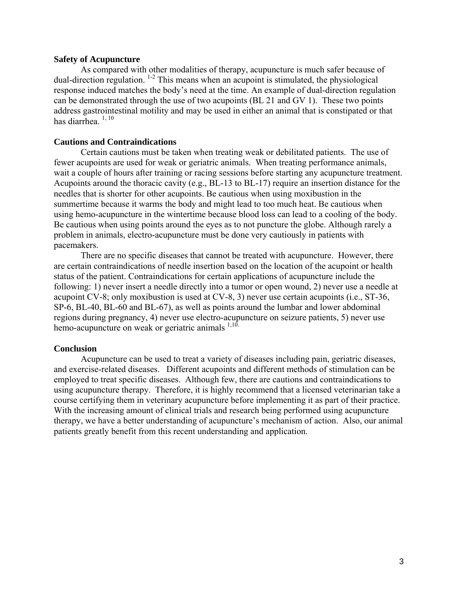### **Safety of Acupuncture**

As compared with other modalities of therapy, acupuncture is much safer because of dual-direction regulation.  $1-2$  This means when an acupoint is stimulated, the physiological response induced matches the body's need at the time. An example of dual-direction regulation can be demonstrated through the use of two acupoints (BL 21 and GV 1). These two points address gastrointestinal motility and may be used in either an animal that is constipated or that has diarrhea $1, 10$ 

## **Cautions and Contraindications**

Certain cautions must be taken when treating weak or debilitated patients. The use of fewer acupoints are used for weak or geriatric animals. When treating performance animals, wait a couple of hours after training or racing sessions before starting any acupuncture treatment. Acupoints around the thoracic cavity (e.g., BL-13 to BL-17) require an insertion distance for the needles that is shorter for other acupoints. Be cautious when using moxibustion in the summertime because it warms the body and might lead to too much heat. Be cautious when using hemo-acupuncture in the wintertime because blood loss can lead to a cooling of the body. Be cautious when using points around the eyes as to not puncture the globe. Although rarely a problem in animals, electro-acupuncture must be done very cautiously in patients with pacemakers.

 There are no specific diseases that cannot be treated with acupuncture. However, there are certain contraindications of needle insertion based on the location of the acupoint or health status of the patient. Contraindications for certain applications of acupuncture include the following: 1) never insert a needle directly into a tumor or open wound, 2) never use a needle at acupoint CV-8; only moxibustion is used at CV-8, 3) never use certain acupoints (i.e., ST-36, SP-6, BL-40, BL-60 and BL-67), as well as points around the lumbar and lower abdominal regions during pregnancy, 4) never use electro-acupuncture on seizure patients, 5) never use hemo-acupuncture on weak or geriatric animals  $1,10$ .

### **Conclusion**

Acupuncture can be used to treat a variety of diseases including pain, geriatric diseases, and exercise-related diseases. Different acupoints and different methods of stimulation can be employed to treat specific diseases. Although few, there are cautions and contraindications to using acupuncture therapy. Therefore, it is highly recommend that a licensed veterinarian take a course certifying them in veterinary acupuncture before implementing it as part of their practice. With the increasing amount of clinical trials and research being performed using acupuncture therapy, we have a better understanding of acupuncture's mechanism of action. Also, our animal patients greatly benefit from this recent understanding and application.